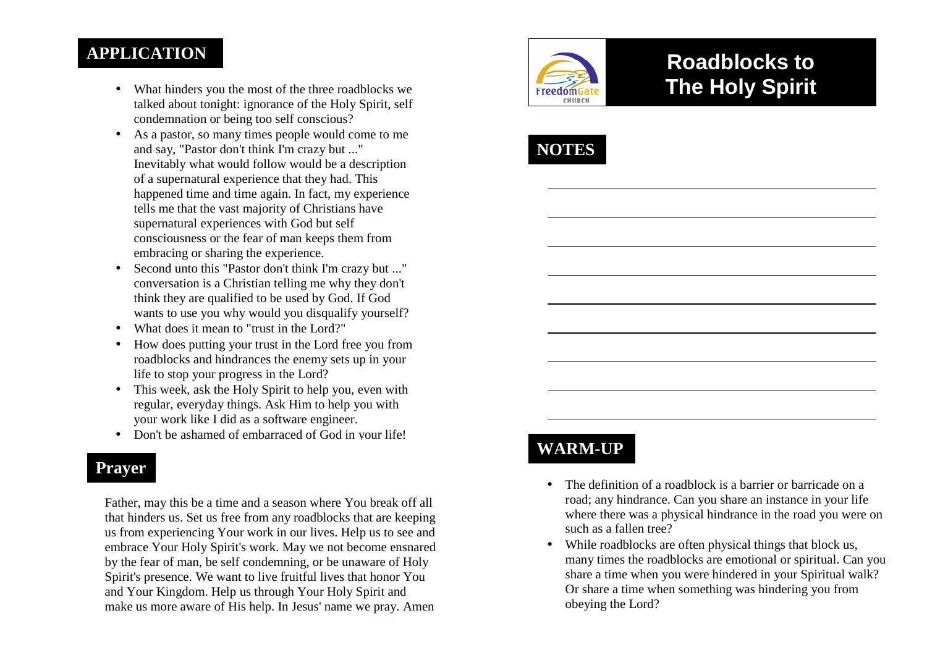### **APPLICATION**

- What hinders you the most of the three roadblocks we talked about tonight: ignorance of the Holy Spirit, self condemnation or being too self conscious?
- As a pastor, so many times people would come to me and say, "Pastor don't think I'm crazy but ..." Inevitably what would follow would be a descriptionof a supernatural experience that they had. This happened time and time again. In fact, my experience tells me that the vast majority of Christians have supernatural experiences with God but self consciousness or the fear of man keeps them from embracing or sharing the experience.
- $\bullet$  Second unto this "Pastor don't think I'm crazy but ..." conversation is a Christian telling me why they don't think they are qualified to be used by God. If God wants to use you why would you disqualify yourself?
- What does it mean to "trust in the Lord?"
- • How does putting your trust in the Lord free you from roadblocks and hindrances the enemy sets up in yourlife to stop your progress in the Lord?
- This week, ask the Holy Spirit to help you, even with regular, everyday things. Ask Him to help you with your work like I did as a software engineer.
- Don't be ashamed of embarraced of God in your life!

#### **Prayer**

Father, may this be a time and a season where You break off all that hinders us. Set us free from any roadblocks that are keeping us from experiencing Your work in our lives. Help us to see and embrace Your Holy Spirit's work. May we not become ensnared by the fear of man, be self condemning, or be unaware of Holy Spirit's presence. We want to live fruitful lives that honor You and Your Kingdom. Help us through Your Holy Spirit and make us more aware of His help. In Jesus' name we pray. Amen



# **Roadblocks to The Holy Spirit**



## **WARM-UP**

- The definition of a roadblock is a barrier or barricade on a road; any hindrance. Can you share an instance in your life where there was a physical hindrance in the road you were on such as a fallen tree?
- While roadblocks are often physical things that block us, many times the roadblocks are emotional or spiritual. Can you share a time when you were hindered in your Spiritual walk? Or share a time when something was hindering you from obeying the Lord?